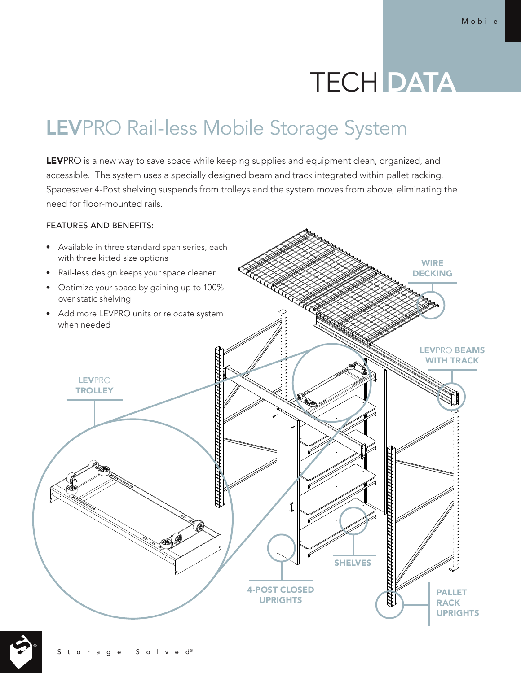# **TECH DATA**

# LEVPRO Rail-less Mobile Storage System

LEVPRO is a new way to save space while keeping supplies and equipment clean, organized, and accessible. The system uses a specially designed beam and track integrated within pallet racking. Spacesaver 4-Post shelving suspends from trolleys and the system moves from above, eliminating the need for floor-mounted rails.

# FEATURES AND BENEFITS: